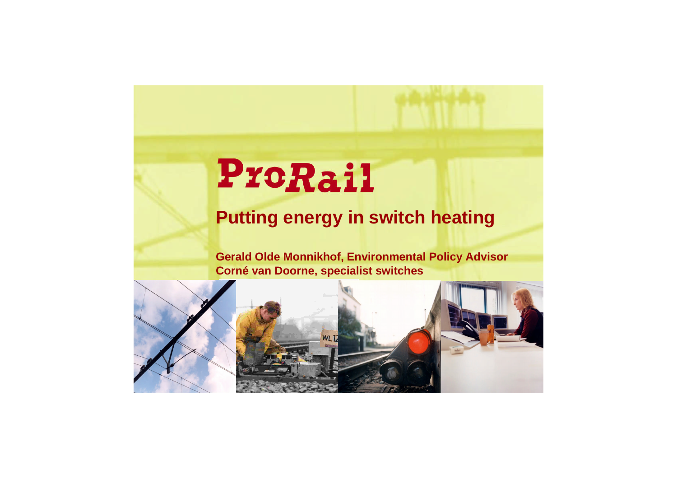### **Putting energy in switch heating**

**Gerald Olde Monnikhof, Environmental Policy Advisor Corné van Doorne, specialist switches**





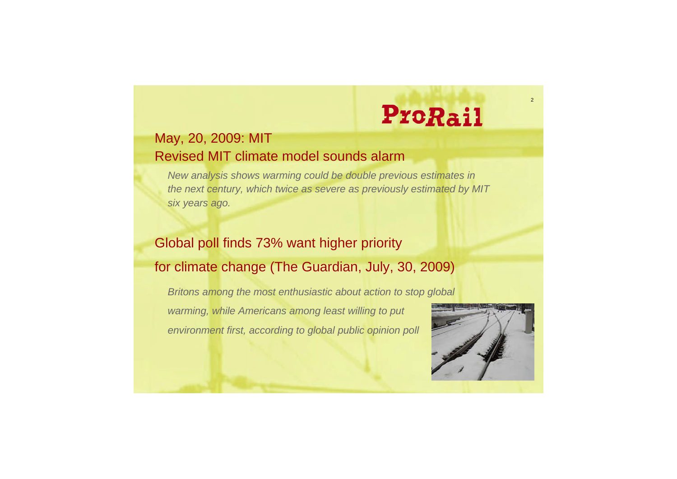

#### May, 20, 2009: MIT Revised MIT climate model sounds alarm

*New analysis shows warming could be double previous estimates in the next century, which twice as severe as previously estimated by MIT six years ago.*

#### Global poll finds 73% want higher priority for climate change (The Guardian, July, 30, 2009)

*Britons among the most enthusiastic about action to stop global warming, while Americans among least willing to put environment first, according to global public opinion poll*

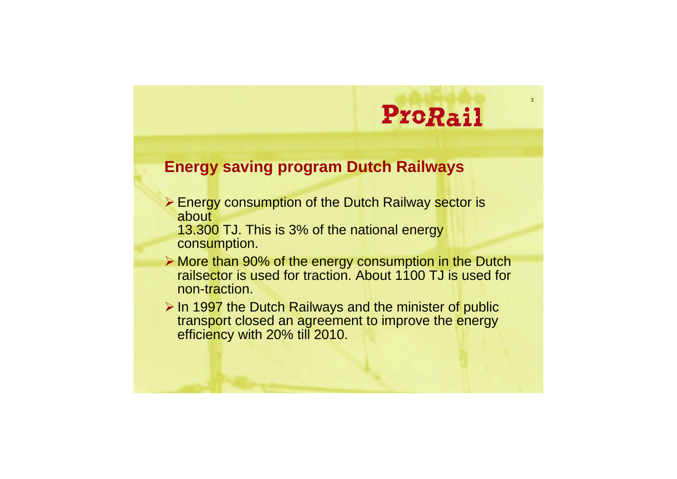

#### **Energy saving program Dutch Railways**

- **Energy consumption of the Dutch Railway sector is** about
	- 13.300 TJ. This is 3% of the national energy consumption.
- More than 90% of the energy consumption in the Dutch railsector is used for traction. About 1100 TJ is used for non-traction.
- $\triangleright$  In 1997 the Dutch Railways and the minister of public transport closed an agreement to improve the energy efficiency with 20% till 2010.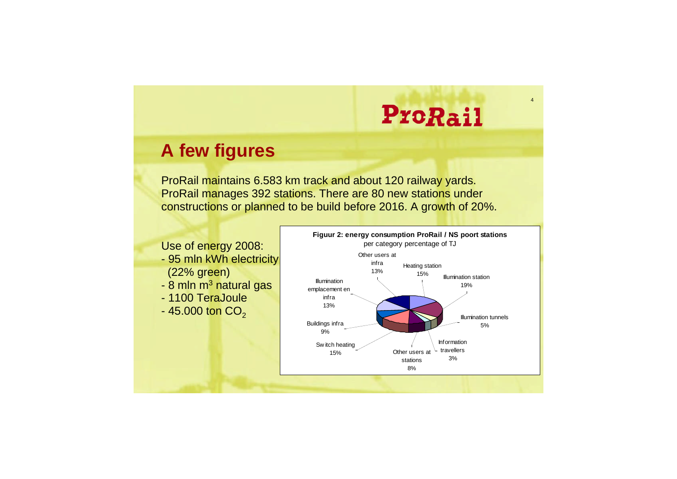#### **A few figures**

ProRail maintains 6.583 km track and about 120 railway yards. ProRail manages 392 stations. There are 80 new stations under constructions or planned to be build before 2016. A growth of 20%.

- 95 mln kWh electricity (22% green)
- 8 mln m<sup>3</sup> natural gas
- 1100 TeraJoule
- $-45.000$  ton  $CO<sub>2</sub>$

Use of energy 2008:

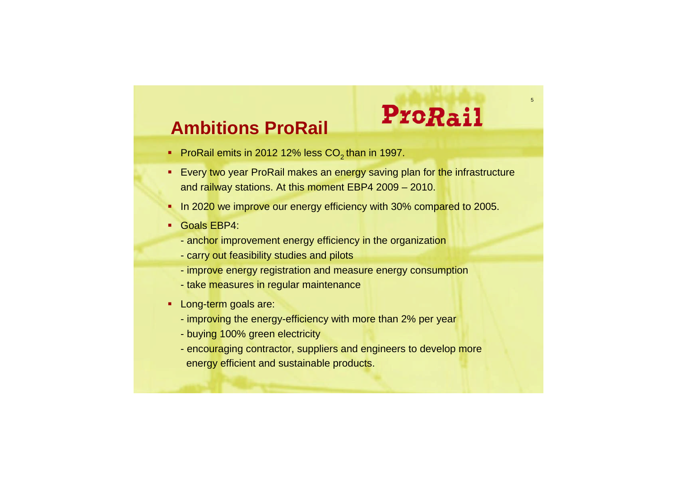

#### **Ambitions ProRail**

### ProRail

- ProRail emits in 2012 12% less  $CO<sub>2</sub>$  than in 1997.
- **Every two year ProRail makes an energy saving plan for the infrastructure** and railway stations. At this moment EBP4 2009 – 2010.
- In 2020 we improve our energy efficiency with 30% compared to 2005.
- Goals EBP4:
	- anchor improvement energy efficiency in the organization
	- carry out feasibility studies and pilots
	- improve energy registration and measure energy consumption
	- take measures in regular maintenance
- **Long-term goals are:** 
	- improving the energy-efficiency with more than 2% per year
	- buying 100% green electricity
	- encouraging contractor, suppliers and engineers to develop more energy efficient and sustainable products.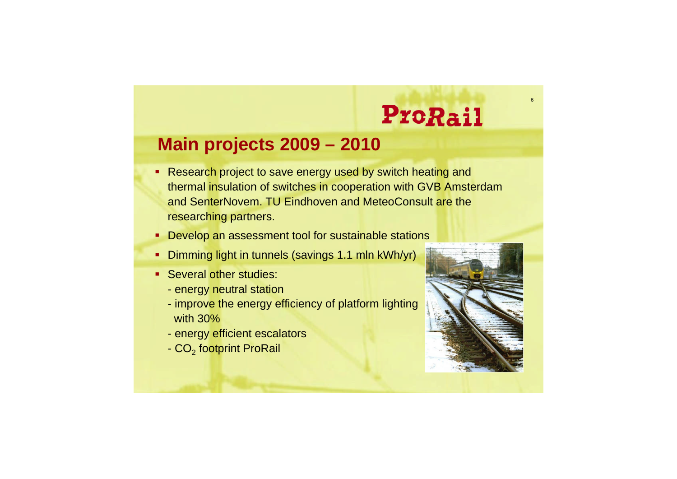

#### **Main projects 2009 – 2010**

- **Research project to save energy used by switch heating and** thermal insulation of switches in cooperation with GVB Amsterdam and SenterNovem. TU Eindhoven and MeteoConsult are the researching partners.
- **-** Develop an assessment tool for sustainable stations
- **Dimming light in tunnels (savings 1.1 mln kWh/yr)**
- **Several other studies:** 
	- energy neutral station
	- improve the energy efficiency of platform lighting with 30%
	- energy efficient escalators
	- CO<sub>2</sub> footprint ProRail

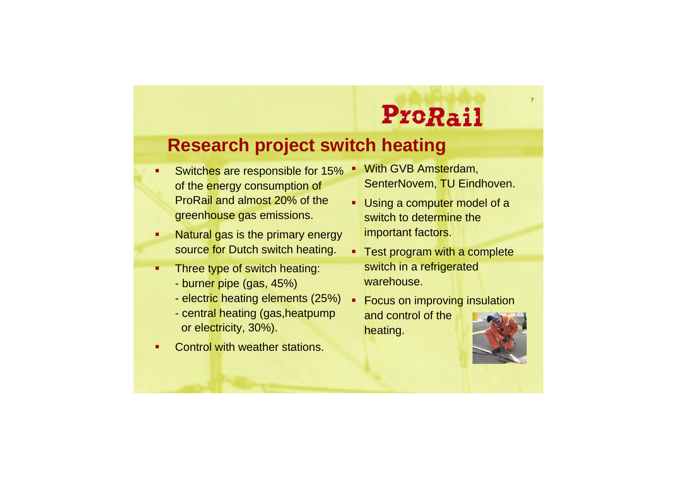

#### **Research project switch heating**

- **Switches are responsible for 15%** of the energy consumption of ProRail and almost 20% of the greenhouse gas emissions.
- **Natural gas is the primary energy** source for Dutch switch heating.
- **Three type of switch heating:** 
	- burner pipe (gas, 45%)
	- electric heating elements (25%)
	- central heating (gas,heatpump or electricity, 30%).
- Control with weather stations.
- **With GVB Amsterdam,** SenterNovem, TU Eindhoven.
- **Using a computer model of a** switch to determine the important factors.
- **Test program with a complete** switch in a refrigerated warehouse.
- **Focus on improving insulation** and control of the heating.

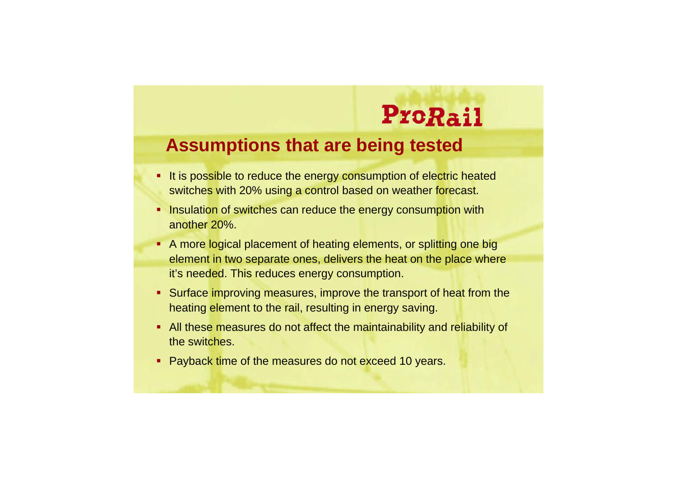#### **Assumptions that are being tested**

- **It is possible to reduce the energy consumption of electric heated** switches with 20% using a control based on weather forecast.
- **Insulation of switches can reduce the energy consumption with** another 20%.
- A more logical placement of heating elements, or splitting one big element in two separate ones, delivers the heat on the place where it's needed. This reduces energy consumption.
- Surface improving measures, improve the transport of heat from the heating element to the rail, resulting in energy saving.
- All these measures do not affect the maintainability and reliability of the switches.
- **Payback time of the measures do not exceed 10 years.**

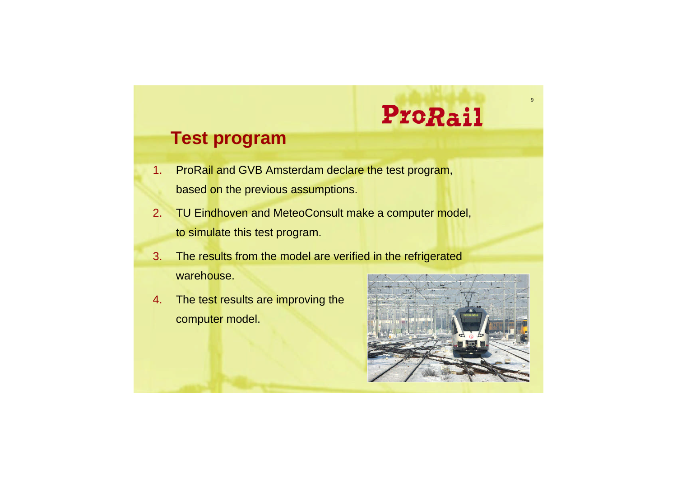#### **Test program**

- 1. ProRail and GVB Amsterdam declare the test program, based on the previous assumptions.
- 2. TU Eindhoven and MeteoConsult make a computer model, to simulate this test program.
- 3. The results from the model are verified in the refrigerated warehouse.
- 4. The test results are improving the computer model.



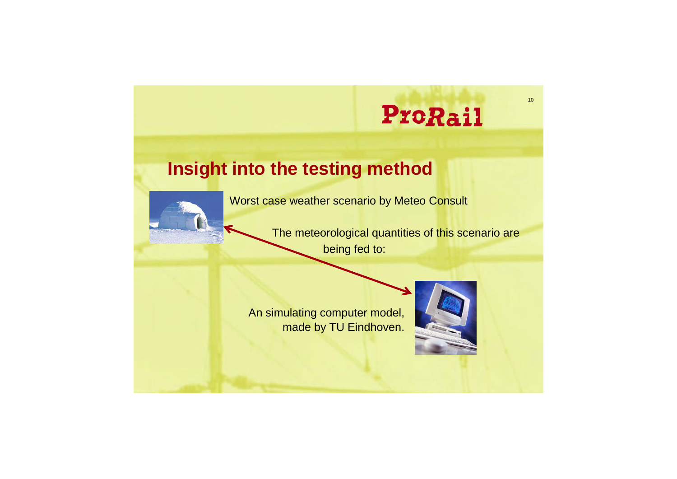#### **Insight into the testing method**



Worst case weather scenario by Meteo Consult

The meteorological quantities of this scenario are being fed to:

An simulating computer model, made by TU Eindhoven.

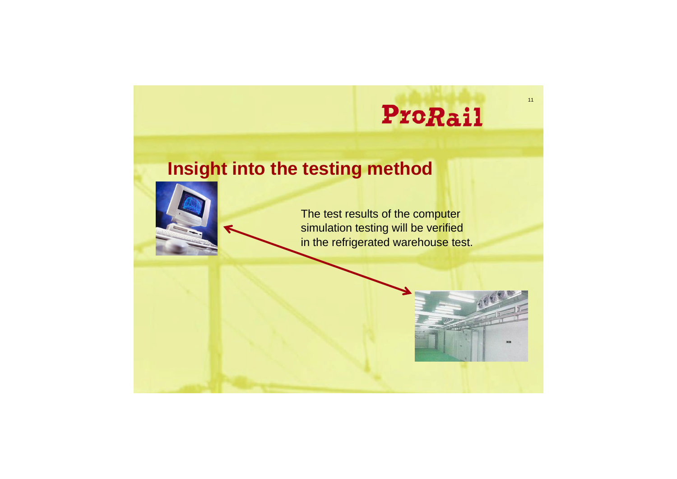**ProRail** 

#### **Insight into the testing method**





The test results of the computer simulation testing will be verified in the refrigerated warehouse test.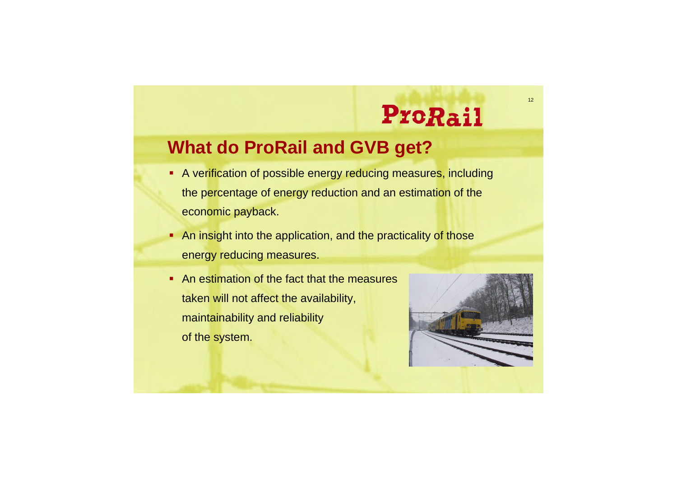#### **What do ProRail and GVB get?**

- A verification of possible energy reducing measures, including the percentage of energy reduction and an estimation of the economic payback.
- An insight into the application, and the practicality of those energy reducing measures.
- An estimation of the fact that the measures taken will not affect the availability, maintainability and reliability of the system.